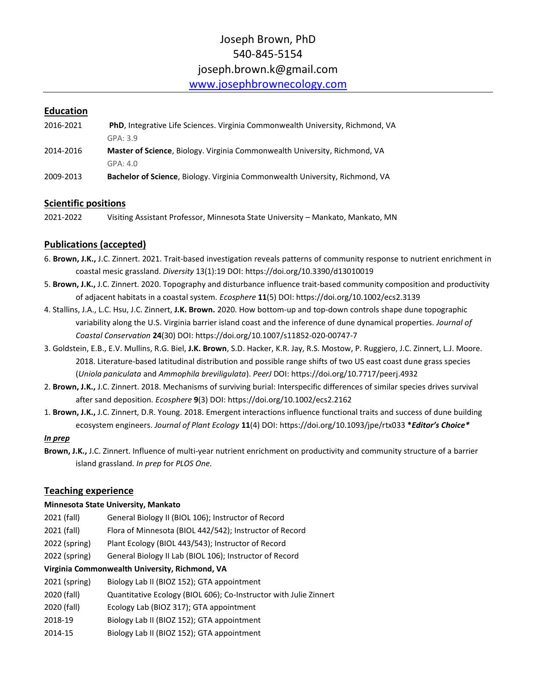# Joseph Brown, PhD 540-845-5154 joseph.brown.k@gmail.com [www.josephbrownecology.com](http://www.josephbrownecology.com/)

## **Education**

| 2016-2021 | <b>PhD, Integrative Life Sciences. Virginia Commonwealth University, Richmond, VA</b> |
|-----------|---------------------------------------------------------------------------------------|
|           | GPA: 3.9                                                                              |
| 2014-2016 | <b>Master of Science, Biology. Virginia Commonwealth University, Richmond, VA</b>     |
|           | GPA: 4.0                                                                              |
| 2009-2013 | <b>Bachelor of Science, Biology. Virginia Commonwealth University, Richmond, VA</b>   |

## **Scientific positions**

2021-2022 Visiting Assistant Professor, Minnesota State University – Mankato, Mankato, MN

## **Publications (accepted)**

- 6. **Brown, J.K.,** J.C. Zinnert. 2021. Trait-based investigation reveals patterns of community response to nutrient enrichment in coastal mesic grassland. *Diversity* 13(1):19 DOI: https://doi.org/10.3390/d13010019
- 5. **Brown, J.K.,** J.C. Zinnert. 2020. Topography and disturbance influence trait-based community composition and productivity of adjacent habitats in a coastal system. *Ecosphere* **11**(5) DOI: https://doi.org/10.1002/ecs2.3139
- 4. Stallins, J.A., L.C. Hsu, J.C. Zinnert, **J.K. Brown.** 2020. How bottom-up and top-down controls shape dune topographic variability along the U.S. Virginia barrier island coast and the inference of dune dynamical properties. *Journal of Coastal Conservation* **24**(30) DOI: https://doi.org/10.1007/s11852-020-00747-7
- 3. Goldstein, E.B., E.V. Mullins, R.G. Biel, **J.K. Brown**, S.D. Hacker, K.R. Jay, R.S. Mostow, P. Ruggiero, J.C. Zinnert, L.J. Moore. 2018. Literature-based latitudinal distribution and possible range shifts of two US east coast dune grass species (*Uniola paniculata* and *Ammophila breviligulata*). *PeerJ* DOI: https://doi.org/10.7717/peerj.4932
- 2. **Brown, J.K.,** J.C. Zinnert. 2018. Mechanisms of surviving burial: Interspecific differences of similar species drives survival after sand deposition. *Ecosphere* **9**(3) DOI: https://doi.org/10.1002/ecs2.2162
- 1. **Brown, J.K.,** J.C. Zinnert, D.R. Young. 2018. Emergent interactions influence functional traits and success of dune building ecosystem engineers. *Journal of Plant Ecology* **11**(4) DOI: https://doi.org/10.1093/jpe/rtx033 **\****Editor's Choice\**

#### *In prep*

**Brown, J.K.,** J.C. Zinnert. Influence of multi-year nutrient enrichment on productivity and community structure of a barrier island grassland. *In prep* for *PLOS One.*

## **Teaching experience**

#### **Minnesota State University, Mankato**

- 2021 (fall) General Biology II (BIOL 106); Instructor of Record
- 2021 (fall) Flora of Minnesota (BIOL 442/542); Instructor of Record
- 2022 (spring) Plant Ecology (BIOL 443/543); Instructor of Record
- 2022 (spring) General Biology II Lab (BIOL 106); Instructor of Record

#### **Virginia Commonwealth University, Richmond, VA**

- 2021 (spring) Biology Lab II (BIOZ 152); GTA appointment
- 2020 (fall) Quantitative Ecology (BIOL 606); Co-Instructor with Julie Zinnert
- 2020 (fall) Ecology Lab (BIOZ 317); GTA appointment
- 2018-19 Biology Lab II (BIOZ 152); GTA appointment
- 2014-15 Biology Lab II (BIOZ 152); GTA appointment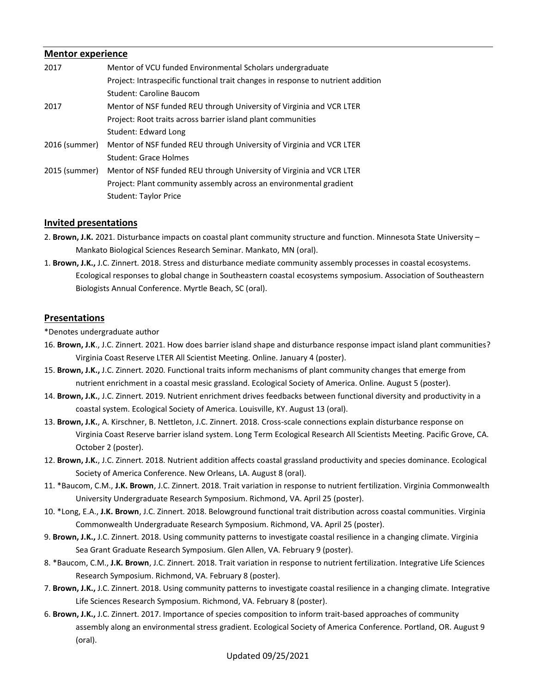#### **Mentor experience**

| 2017          | Mentor of VCU funded Environmental Scholars undergraduate                        |
|---------------|----------------------------------------------------------------------------------|
|               | Project: Intraspecific functional trait changes in response to nutrient addition |
|               | Student: Caroline Baucom                                                         |
| 2017          | Mentor of NSF funded REU through University of Virginia and VCR LTER             |
|               | Project: Root traits across barrier island plant communities                     |
|               | Student: Edward Long                                                             |
| 2016 (summer) | Mentor of NSF funded REU through University of Virginia and VCR LTER             |
|               | Student: Grace Holmes                                                            |
| 2015 (summer) | Mentor of NSF funded REU through University of Virginia and VCR LTER             |
|               | Project: Plant community assembly across an environmental gradient               |
|               | <b>Student: Taylor Price</b>                                                     |

## **Invited presentations**

- 2. **Brown, J.K.** 2021. Disturbance impacts on coastal plant community structure and function. Minnesota State University Mankato Biological Sciences Research Seminar. Mankato, MN (oral).
- 1. **Brown, J.K.,** J.C. Zinnert. 2018. Stress and disturbance mediate community assembly processes in coastal ecosystems. Ecological responses to global change in Southeastern coastal ecosystems symposium. Association of Southeastern Biologists Annual Conference. Myrtle Beach, SC (oral).

#### **Presentations**

\*Denotes undergraduate author

- 16. **Brown, J.K**., J.C. Zinnert. 2021. How does barrier island shape and disturbance response impact island plant communities? Virginia Coast Reserve LTER All Scientist Meeting. Online. January 4 (poster).
- 15. **Brown, J.K.,** J.C. Zinnert. 2020. Functional traits inform mechanisms of plant community changes that emerge from nutrient enrichment in a coastal mesic grassland. Ecological Society of America. Online. August 5 (poster).
- 14. **Brown, J.K.**, J.C. Zinnert. 2019. Nutrient enrichment drives feedbacks between functional diversity and productivity in a coastal system. Ecological Society of America. Louisville, KY. August 13 (oral).
- 13. **Brown, J.K.**, A. Kirschner, B. Nettleton, J.C. Zinnert. 2018. Cross-scale connections explain disturbance response on Virginia Coast Reserve barrier island system. Long Term Ecological Research All Scientists Meeting. Pacific Grove, CA. October 2 (poster).
- 12. **Brown, J.K.**, J.C. Zinnert. 2018. Nutrient addition affects coastal grassland productivity and species dominance. Ecological Society of America Conference. New Orleans, LA. August 8 (oral).
- 11. \*Baucom, C.M., **J.K. Brown**, J.C. Zinnert. 2018. Trait variation in response to nutrient fertilization. Virginia Commonwealth University Undergraduate Research Symposium. Richmond, VA. April 25 (poster).
- 10. \*Long, E.A., **J.K. Brown**, J.C. Zinnert. 2018. Belowground functional trait distribution across coastal communities. Virginia Commonwealth Undergraduate Research Symposium. Richmond, VA. April 25 (poster).
- 9. **Brown, J.K.,** J.C. Zinnert. 2018. Using community patterns to investigate coastal resilience in a changing climate. Virginia Sea Grant Graduate Research Symposium. Glen Allen, VA. February 9 (poster).
- 8. \*Baucom, C.M., **J.K. Brown**, J.C. Zinnert. 2018. Trait variation in response to nutrient fertilization. Integrative Life Sciences Research Symposium. Richmond, VA. February 8 (poster).
- 7. **Brown, J.K.,** J.C. Zinnert. 2018. Using community patterns to investigate coastal resilience in a changing climate. Integrative Life Sciences Research Symposium. Richmond, VA. February 8 (poster).
- 6. **Brown, J.K.,** J.C. Zinnert. 2017. Importance of species composition to inform trait-based approaches of community assembly along an environmental stress gradient. Ecological Society of America Conference. Portland, OR. August 9 (oral).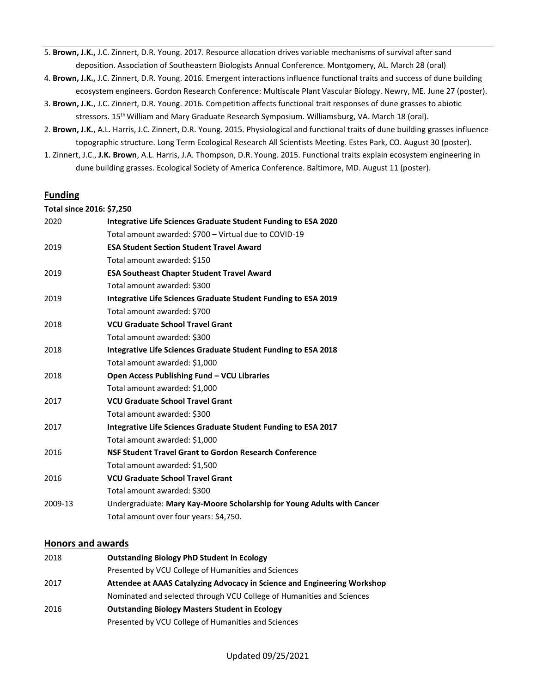- 5. **Brown, J.K.,** J.C. Zinnert, D.R. Young. 2017. Resource allocation drives variable mechanisms of survival after sand deposition. Association of Southeastern Biologists Annual Conference. Montgomery, AL. March 28 (oral)
- 4. **Brown, J.K.,** J.C. Zinnert, D.R. Young. 2016. Emergent interactions influence functional traits and success of dune building ecosystem engineers. Gordon Research Conference: Multiscale Plant Vascular Biology. Newry, ME. June 27 (poster).
- 3. **Brown, J.K.**, J.C. Zinnert, D.R. Young. 2016. Competition affects functional trait responses of dune grasses to abiotic stressors. 15th William and Mary Graduate Research Symposium. Williamsburg, VA. March 18 (oral).
- 2. **Brown, J.K.**, A.L. Harris, J.C. Zinnert, D.R. Young. 2015. Physiological and functional traits of dune building grasses influence topographic structure. Long Term Ecological Research All Scientists Meeting. Estes Park, CO. August 30 (poster).
- 1. Zinnert, J.C., **J.K. Brown**, A.L. Harris, J.A. Thompson, D.R. Young. 2015. Functional traits explain ecosystem engineering in dune building grasses. Ecological Society of America Conference. Baltimore, MD. August 11 (poster).

## **Funding**

#### **Total since 2016: \$7,250**

| 2020    | Integrative Life Sciences Graduate Student Funding to ESA 2020         |
|---------|------------------------------------------------------------------------|
|         | Total amount awarded: \$700 - Virtual due to COVID-19                  |
| 2019    | <b>ESA Student Section Student Travel Award</b>                        |
|         | Total amount awarded: \$150                                            |
| 2019    | <b>ESA Southeast Chapter Student Travel Award</b>                      |
|         | Total amount awarded: \$300                                            |
| 2019    | Integrative Life Sciences Graduate Student Funding to ESA 2019         |
|         | Total amount awarded: \$700                                            |
| 2018    | <b>VCU Graduate School Travel Grant</b>                                |
|         | Total amount awarded: \$300                                            |
| 2018    | Integrative Life Sciences Graduate Student Funding to ESA 2018         |
|         | Total amount awarded: \$1,000                                          |
| 2018    | Open Access Publishing Fund - VCU Libraries                            |
|         | Total amount awarded: \$1,000                                          |
| 2017    | <b>VCU Graduate School Travel Grant</b>                                |
|         | Total amount awarded: \$300                                            |
| 2017    | Integrative Life Sciences Graduate Student Funding to ESA 2017         |
|         | Total amount awarded: \$1,000                                          |
| 2016    | NSF Student Travel Grant to Gordon Research Conference                 |
|         | Total amount awarded: \$1,500                                          |
| 2016    | <b>VCU Graduate School Travel Grant</b>                                |
|         | Total amount awarded: \$300                                            |
| 2009-13 | Undergraduate: Mary Kay-Moore Scholarship for Young Adults with Cancer |
|         | Total amount over four years: \$4,750.                                 |

#### **Honors and awards**

| 2018 | <b>Outstanding Biology PhD Student in Ecology</b>                        |
|------|--------------------------------------------------------------------------|
|      | Presented by VCU College of Humanities and Sciences                      |
| 2017 | Attendee at AAAS Catalyzing Advocacy in Science and Engineering Workshop |
|      | Nominated and selected through VCU College of Humanities and Sciences    |
| 2016 | <b>Outstanding Biology Masters Student in Ecology</b>                    |
|      | Presented by VCU College of Humanities and Sciences                      |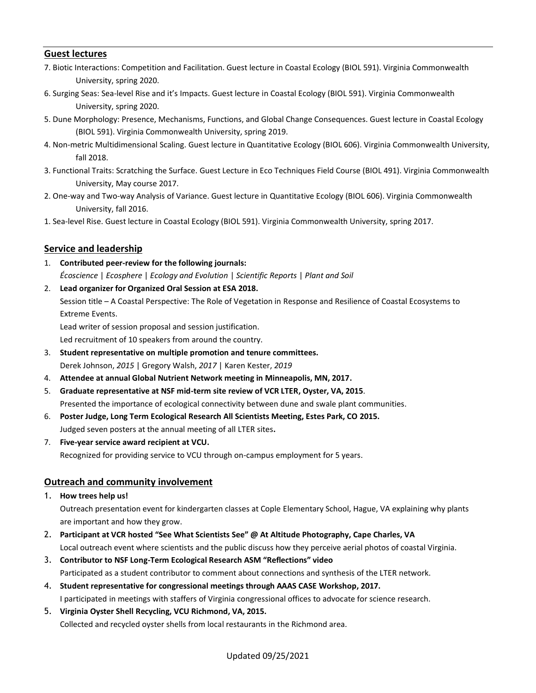## **Guest lectures**

- 7. Biotic Interactions: Competition and Facilitation. Guest lecture in Coastal Ecology (BIOL 591). Virginia Commonwealth University, spring 2020.
- 6. Surging Seas: Sea-level Rise and it's Impacts. Guest lecture in Coastal Ecology (BIOL 591). Virginia Commonwealth University, spring 2020.
- 5. Dune Morphology: Presence, Mechanisms, Functions, and Global Change Consequences. Guest lecture in Coastal Ecology (BIOL 591). Virginia Commonwealth University, spring 2019.
- 4. Non-metric Multidimensional Scaling. Guest lecture in Quantitative Ecology (BIOL 606). Virginia Commonwealth University, fall 2018.
- 3. Functional Traits: Scratching the Surface. Guest Lecture in Eco Techniques Field Course (BIOL 491). Virginia Commonwealth University, May course 2017.
- 2. One-way and Two-way Analysis of Variance. Guest lecture in Quantitative Ecology (BIOL 606). Virginia Commonwealth University, fall 2016.
- 1. Sea-level Rise. Guest lecture in Coastal Ecology (BIOL 591). Virginia Commonwealth University, spring 2017.

## **Service and leadership**

- 1. **Contributed peer-review for the following journals:** *Écoscience* | *Ecosphere* | *Ecology and Evolution* | *Scientific Reports* | *Plant and Soil*
- 2. **Lead organizer for Organized Oral Session at ESA 2018.**

Session title – A Coastal Perspective: The Role of Vegetation in Response and Resilience of Coastal Ecosystems to Extreme Events.

Lead writer of session proposal and session justification.

Led recruitment of 10 speakers from around the country.

- 3. **Student representative on multiple promotion and tenure committees.** Derek Johnson, *2015* | Gregory Walsh, *2017* | Karen Kester, *2019*
- 4. **Attendee at annual Global Nutrient Network meeting in Minneapolis, MN, 2017.**
- 5. **Graduate representative at NSF mid-term site review of VCR LTER, Oyster, VA, 2015**. Presented the importance of ecological connectivity between dune and swale plant communities.
- 6. **Poster Judge, Long Term Ecological Research All Scientists Meeting, Estes Park, CO 2015.**
- Judged seven posters at the annual meeting of all LTER sites**.**
- 7. **Five-year service award recipient at VCU.** Recognized for providing service to VCU through on-campus employment for 5 years.

## **Outreach and community involvement**

1. **How trees help us!**

Outreach presentation event for kindergarten classes at Cople Elementary School, Hague, VA explaining why plants are important and how they grow.

- 2. **Participant at VCR hosted "See What Scientists See" @ At Altitude Photography, Cape Charles, VA** Local outreach event where scientists and the public discuss how they perceive aerial photos of coastal Virginia.
- 3. **Contributor to NSF Long-Term Ecological Research ASM "Reflections" video** Participated as a student contributor to comment about connections and synthesis of the LTER network.
- 4. **Student representative for congressional meetings through AAAS CASE Workshop, 2017.** I participated in meetings with staffers of Virginia congressional offices to advocate for science research.
- 5. **Virginia Oyster Shell Recycling, VCU Richmond, VA, 2015.** Collected and recycled oyster shells from local restaurants in the Richmond area.